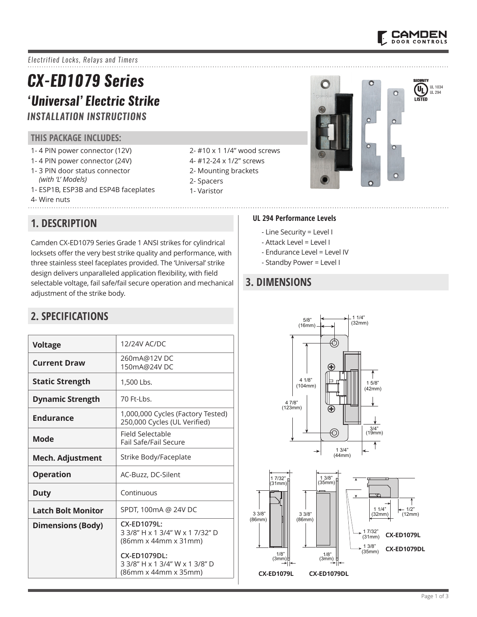

UL 1034 UL 294

 $\mathbf{u}_\text{L}$ 

LISTED

 $\Omega$ 

 $\circ$ 

 $\Omega$ 

 $\overline{O}$ 

 $\bullet$ 

 $\Omega$ 

*Electrified Locks, Relays and Timers*

# *CX-ED1079 Series 'Universal' Electric Strike*

## *INSTALLATION INSTRUCTIONS*

#### **THIS PACKAGE INCLUDES:**

- 1- 4 PIN power connector (12V)
- 1- 4 PIN power connector (24V)
- 1- 3 PIN door status connector
- *(with 'L' Models)* 1- ESP1B, ESP3B and ESP4B faceplates
- 4- Wire nuts
- **1. DESCRIPTION**

Camden CX-ED1079 Series Grade 1 ANSI strikes for cylindrical locksets offer the very best strike quality and performance, with three stainless steel faceplates provided. The 'Universal' strike design delivers unparalleled application flexibility, with field selectable voltage, fail safe/fail secure operation and mechanical adjustment of the strike body.

## **2. SPECIFICATIONS**

| <b>Voltage</b>            | 12/24V AC/DC                                                                                                             |  |  |
|---------------------------|--------------------------------------------------------------------------------------------------------------------------|--|--|
| <b>Current Draw</b>       | 260mA@12VDC<br>150mA@24VDC                                                                                               |  |  |
| <b>Static Strength</b>    | 1,500 Lbs.                                                                                                               |  |  |
| <b>Dynamic Strength</b>   | 70 Ft-I bs.                                                                                                              |  |  |
| <b>Endurance</b>          | 1,000,000 Cycles (Factory Tested)<br>250,000 Cycles (UL Verified)                                                        |  |  |
| Mode                      | Field Selectable<br>Fail Safe/Fail Secure                                                                                |  |  |
| <b>Mech. Adjustment</b>   | Strike Body/Faceplate                                                                                                    |  |  |
| <b>Operation</b>          | AC-Buzz, DC-Silent                                                                                                       |  |  |
| Duty                      | Continuous                                                                                                               |  |  |
| <b>Latch Bolt Monitor</b> | SPDT, 100mA @ 24V DC                                                                                                     |  |  |
| <b>Dimensions (Body)</b>  | CX-ED1079L:<br>3 3/8" H x 1 3/4" W x 1 7/32" D<br>(86mm x 44mm x 31mm)<br>CX-ED1079DL:<br>3 3/8" H x 1 3/4" W x 1 3/8" D |  |  |
|                           | (86mm x 44mm x 35mm)                                                                                                     |  |  |

#### 2- #10 x 1 1/4" wood screws

- 4- #12-24 x 1/2" screws
- 2- Mounting brackets
- 2- Spacers
- 1- Varistor

#### **UL 294 Performance Levels**

- Line Security = Level I
- Attack Level = Level I
- Endurance Level = Level IV

 $\bigcirc$ 

- Standby Power = Level I

## **3. DIMENSIONS**



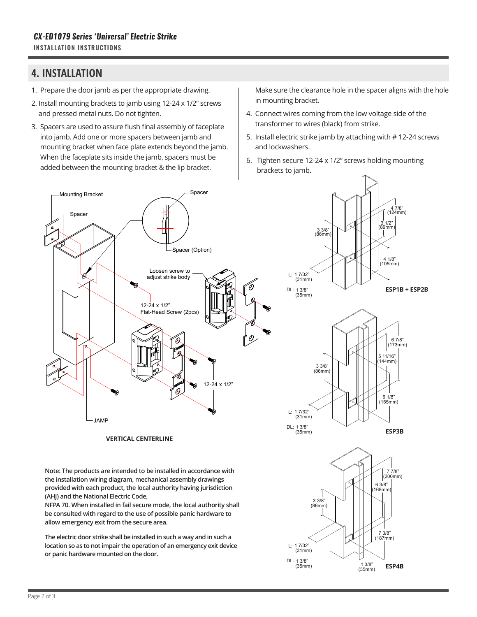#### **4. INSTALLATION**

- 1. Prepare the door jamb as per the appropriate drawing.
- 2. Install mounting brackets to jamb using 12-24 x 1/2" screws and pressed metal nuts. Do not tighten.
- 3. Spacers are used to assure flush final assembly of faceplate into jamb. Add one or more spacers between jamb and mounting bracket when face plate extends beyond the jamb. When the faceplate sits inside the jamb, spacers must be added between the mounting bracket & the lip bracket.

Make sure the clearance hole in the spacer aligns with the hole in mounting bracket.

- 4. Connect wires coming from the low voltage side of the transformer to wires (black) from strike.
- 5. Install electric strike jamb by attaching with # 12-24 screws and lockwashers.

(187mm) 7 3/8"

**ESP4B**

(168mm) 6 3/8"

(200mm) 7 7/8"

**ESP3B**

(155mm) 6 1/8"

(144mm) 5 11/16"

(173mm) 6 7/8"

**ESP1B + ESP2B**

(105mm) 4 1/8"

(89mm)  $1/2"$ 

(124mm) 4 7/8"

(35mm) 1 3/8"

(35mm) DL: 1 3/8"

6. Tighten secure 12-24 x 1/2" screws holding mounting brackets to jamb.



**or panic hardware mounted on the door.**